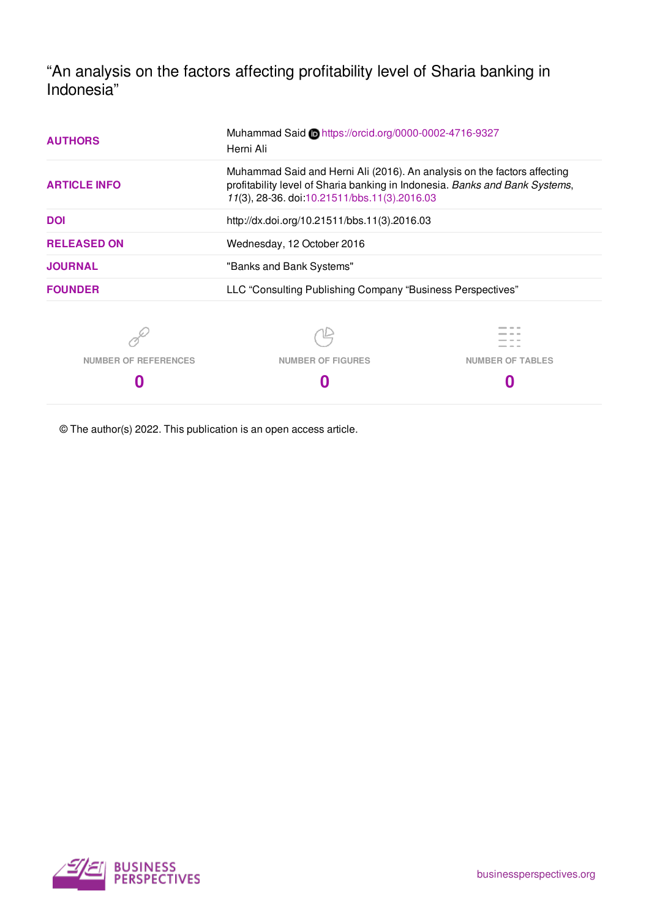"An analysis on the factors affecting profitability level of Sharia banking in Indonesia"

| <b>AUTHORS</b>              | Muhammad Said Dhttps://orcid.org/0000-0002-4716-9327<br>Herni Ali                                                                                                                                       |                         |  |  |
|-----------------------------|---------------------------------------------------------------------------------------------------------------------------------------------------------------------------------------------------------|-------------------------|--|--|
| <b>ARTICLE INFO</b>         | Muhammad Said and Herni Ali (2016). An analysis on the factors affecting<br>profitability level of Sharia banking in Indonesia. Banks and Bank Systems,<br>11(3), 28-36. doi:10.21511/bbs.11(3).2016.03 |                         |  |  |
| <b>DOI</b>                  | http://dx.doi.org/10.21511/bbs.11(3).2016.03                                                                                                                                                            |                         |  |  |
| <b>RELEASED ON</b>          | Wednesday, 12 October 2016                                                                                                                                                                              |                         |  |  |
| <b>JOURNAL</b>              | "Banks and Bank Systems"                                                                                                                                                                                |                         |  |  |
| <b>FOUNDER</b>              | LLC "Consulting Publishing Company "Business Perspectives"                                                                                                                                              |                         |  |  |
|                             |                                                                                                                                                                                                         |                         |  |  |
| <b>NUMBER OF REFERENCES</b> | <b>NUMBER OF FIGURES</b>                                                                                                                                                                                | <b>NUMBER OF TABLES</b> |  |  |

**0**

© The author(s) 2022. This publication is an open access article.

**0**



**0**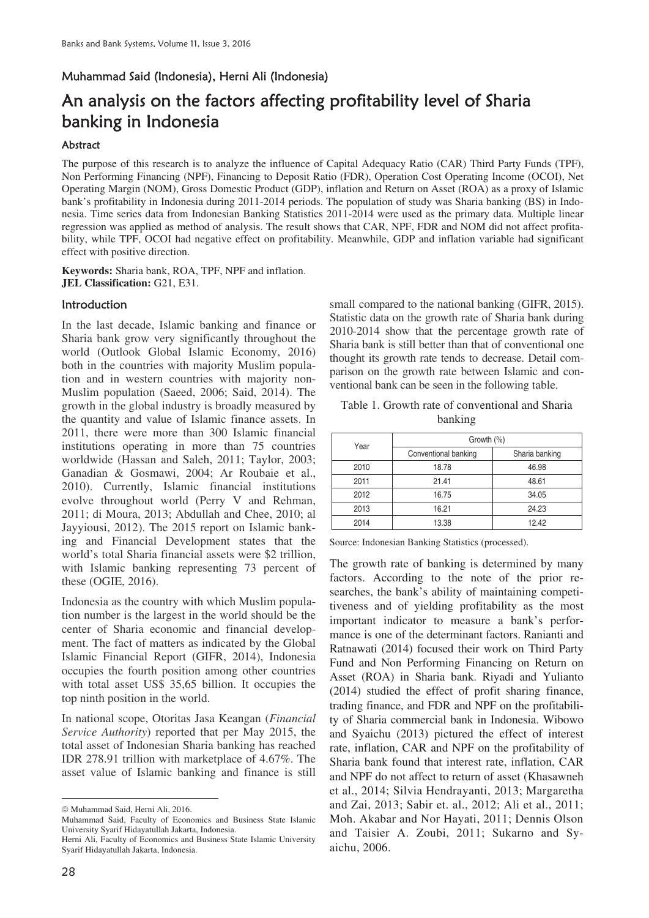# Muhammad Said (Indonesia), Herni Ali (Indonesia)

# An analysis on the factors affecting profitability level of Sharia banking in Indonesia

### Abstract

The purpose of this research is to analyze the influence of Capital Adequacy Ratio (CAR) Third Party Funds (TPF), Non Performing Financing (NPF), Financing to Deposit Ratio (FDR), Operation Cost Operating Income (OCOI), Net Operating Margin (NOM), Gross Domestic Product (GDP), inflation and Return on Asset (ROA) as a proxy of Islamic bank's profitability in Indonesia during 2011-2014 periods. The population of study was Sharia banking (BS) in Indonesia. Time series data from Indonesian Banking Statistics 2011-2014 were used as the primary data. Multiple linear regression was applied as method of analysis. The result shows that CAR, NPF, FDR and NOM did not affect profitability, while TPF, OCOI had negative effect on profitability. Meanwhile, GDP and inflation variable had significant effect with positive direction.

**Keywords:** Sharia bank, ROA, TPF, NPF and inflation. **JEL Classification:** G21, E31.

### **Introduction**

In the last decade, Islamic banking and finance or Sharia bank grow very significantly throughout the world (Outlook Global Islamic Economy, 2016) both in the countries with majority Muslim population and in western countries with majority non-Muslim population (Saeed, 2006; Said, 2014). The growth in the global industry is broadly measured by the quantity and value of Islamic finance assets. In 2011, there were more than 300 Islamic financial institutions operating in more than 75 countries worldwide (Hassan and Saleh, 2011; Taylor, 2003; Ganadian & Gosmawi, 2004; Ar Roubaie et al., 2010). Currently, Islamic financial institutions evolve throughout world (Perry V and Rehman, 2011; di Moura, 2013; Abdullah and Chee, 2010; al Jayyiousi, 2012). The 2015 report on Islamic banking and Financial Development states that the world's total Sharia financial assets were \$2 trillion, with Islamic banking representing 73 percent of these (OGIE, 2016).

Indonesia as the country with which Muslim population number is the largest in the world should be the center of Sharia economic and financial development. The fact of matters as indicated by the Global Islamic Financial Report (GIFR, 2014), Indonesia occupies the fourth position among other countries with total asset US\$ 35,65 billion. It occupies the top ninth position in the world.

In national scope, Otoritas Jasa Keangan (*Financial Service Authority*) reported that per May 2015, the total asset of Indonesian Sharia banking has reached IDR 278.91 trillion with marketplace of 4.67%. The asset value of Islamic banking and finance is still

small compared to the national banking (GIFR, 2015). Statistic data on the growth rate of Sharia bank during 2010-2014 show that the percentage growth rate of Sharia bank is still better than that of conventional one thought its growth rate tends to decrease. Detail comparison on the growth rate between Islamic and conventional bank can be seen in the following table.

| Table 1. Growth rate of conventional and Sharia |  |  |  |  |
|-------------------------------------------------|--|--|--|--|
| banking                                         |  |  |  |  |

| Year | Growth $(\% )$       |                |  |
|------|----------------------|----------------|--|
|      | Conventional banking | Sharia banking |  |
| 2010 | 18.78                | 46.98          |  |
| 2011 | 21.41                | 48.61          |  |
| 2012 | 16.75                | 34.05          |  |
| 2013 | 16.21                | 24.23          |  |
| 2014 | 13.38                | 12.42          |  |

Source: Indonesian Banking Statistics (processed).

The growth rate of banking is determined by many factors. According to the note of the prior researches, the bank's ability of maintaining competitiveness and of yielding profitability as the most important indicator to measure a bank's performance is one of the determinant factors. Ranianti and Ratnawati (2014) focused their work on Third Party Fund and Non Performing Financing on Return on Asset (ROA) in Sharia bank. Riyadi and Yulianto (2014) studied the effect of profit sharing finance, trading finance, and FDR and NPF on the profitability of Sharia commercial bank in Indonesia. Wibowo and Syaichu (2013) pictured the effect of interest rate, inflation, CAR and NPF on the profitability of Sharia bank found that interest rate, inflation, CAR and NPF do not affect to return of asset (Khasawneh et al., 2014; Silvia Hendrayanti, 2013; Margaretha and Zai, 2013; Sabir et. al., 2012; Ali et al., 2011; Moh. Akabar and Nor Hayati, 2011; Dennis Olson and Taisier A. Zoubi, 2011; Sukarno and Syaichu, 2006.

 $\overline{a}$ ¤ Muhammad Said, Herni Ali, 2016.

Muhammad Said, Faculty of Economics and Business State Islamic University Syarif Hidayatullah Jakarta, Indonesia.

Herni Ali, Faculty of Economics and Business State Islamic University Syarif Hidayatullah Jakarta, Indonesia.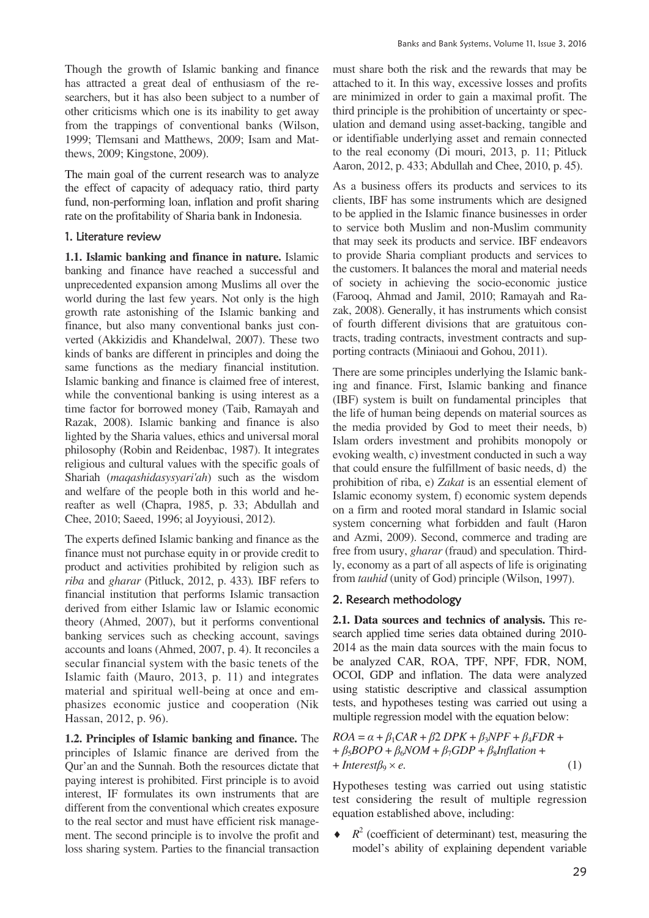Though the growth of Islamic banking and finance has attracted a great deal of enthusiasm of the researchers, but it has also been subject to a number of other criticisms which one is its inability to get away from the trappings of conventional banks (Wilson, 1999; Tlemsani and Matthews, 2009; Isam and Matthews, 2009; Kingstone, 2009).

The main goal of the current research was to analyze the effect of capacity of adequacy ratio, third party fund, non-performing loan, inflation and profit sharing rate on the profitability of Sharia bank in Indonesia.

### 1. Literature review

**1.1. Islamic banking and finance in nature.** Islamic banking and finance have reached a successful and unprecedented expansion among Muslims all over the world during the last few years. Not only is the high growth rate astonishing of the Islamic banking and finance, but also many conventional banks just converted (Akkizidis and Khandelwal, 2007). These two kinds of banks are different in principles and doing the same functions as the mediary financial institution. Islamic banking and finance is claimed free of interest, while the conventional banking is using interest as a time factor for borrowed money (Taib, Ramayah and Razak, 2008). Islamic banking and finance is also lighted by the Sharia values, ethics and universal moral philosophy (Robin and Reidenbac, 1987). It integrates religious and cultural values with the specific goals of Shariah (*maqashidasysyari'ah*) such as the wisdom and welfare of the people both in this world and hereafter as well (Chapra, 1985, p. 33; Abdullah and Chee, 2010; Saeed, 1996; al Joyyiousi, 2012).

The experts defined Islamic banking and finance as the finance must not purchase equity in or provide credit to product and activities prohibited by religion such as *riba* and *gharar* (Pitluck, 2012, p. 433)*.* IBF refers to financial institution that performs Islamic transaction derived from either Islamic law or Islamic economic theory (Ahmed, 2007), but it performs conventional banking services such as checking account, savings accounts and loans (Ahmed, 2007, p. 4). It reconciles a secular financial system with the basic tenets of the Islamic faith (Mauro, 2013, p. 11) and integrates material and spiritual well-being at once and emphasizes economic justice and cooperation (Nik Hassan, 2012, p. 96).

**1.2. Principles of Islamic banking and finance.** The principles of Islamic finance are derived from the Qur'an and the Sunnah. Both the resources dictate that paying interest is prohibited. First principle is to avoid interest, IF formulates its own instruments that are different from the conventional which creates exposure to the real sector and must have efficient risk management. The second principle is to involve the profit and loss sharing system. Parties to the financial transaction must share both the risk and the rewards that may be attached to it. In this way, excessive losses and profits are minimized in order to gain a maximal profit. The third principle is the prohibition of uncertainty or speculation and demand using asset-backing, tangible and or identifiable underlying asset and remain connected to the real economy (Di mouri, 2013, p. 11; Pitluck Aaron, 2012, p. 433; Abdullah and Chee, 2010, p. 45).

As a business offers its products and services to its clients, IBF has some instruments which are designed to be applied in the Islamic finance businesses in order to service both Muslim and non-Muslim community that may seek its products and service. IBF endeavors to provide Sharia compliant products and services to the customers. It balances the moral and material needs of society in achieving the socio-economic justice (Farooq, Ahmad and Jamil, 2010; Ramayah and Razak, 2008). Generally, it has instruments which consist of fourth different divisions that are gratuitous contracts, trading contracts, investment contracts and supporting contracts (Miniaoui and Gohou, 2011).

There are some principles underlying the Islamic banking and finance. First, Islamic banking and finance (IBF) system is built on fundamental principles that the life of human being depends on material sources as the media provided by God to meet their needs, b) Islam orders investment and prohibits monopoly or evoking wealth, c) investment conducted in such a way that could ensure the fulfillment of basic needs, d) the prohibition of riba, e) *Zakat* is an essential element of Islamic economy system, f) economic system depends on a firm and rooted moral standard in Islamic social system concerning what forbidden and fault (Haron and Azmi, 2009). Second, commerce and trading are free from usury, *gharar* (fraud) and speculation. Thirdly, economy as a part of all aspects of life is originating from *tauhid* (unity of God) principle (Wilson, 1997).

# 2. Research methodology

**2.1. Data sources and technics of analysis.** This research applied time series data obtained during 2010- 2014 as the main data sources with the main focus to be analyzed CAR, ROA, TPF, NPF, FDR, NOM, OCOI, GDP and inflation. The data were analyzed using statistic descriptive and classical assumption tests, and hypotheses testing was carried out using a multiple regression model with the equation below:

$$
ROA = \alpha + \beta_1 CAR + \beta_2 DPK + \beta_3 NPF + \beta_4 FDR + + \beta_5 BOPO + \beta_6 NOM + \beta_7 GDP + \beta_8 Inflation + + Interest \beta_9 \times e.
$$
 (1)

Hypotheses testing was carried out using statistic test considering the result of multiple regression equation established above, including:

 $\bullet$   $R^2$  (coefficient of determinant) test, measuring the model's ability of explaining dependent variable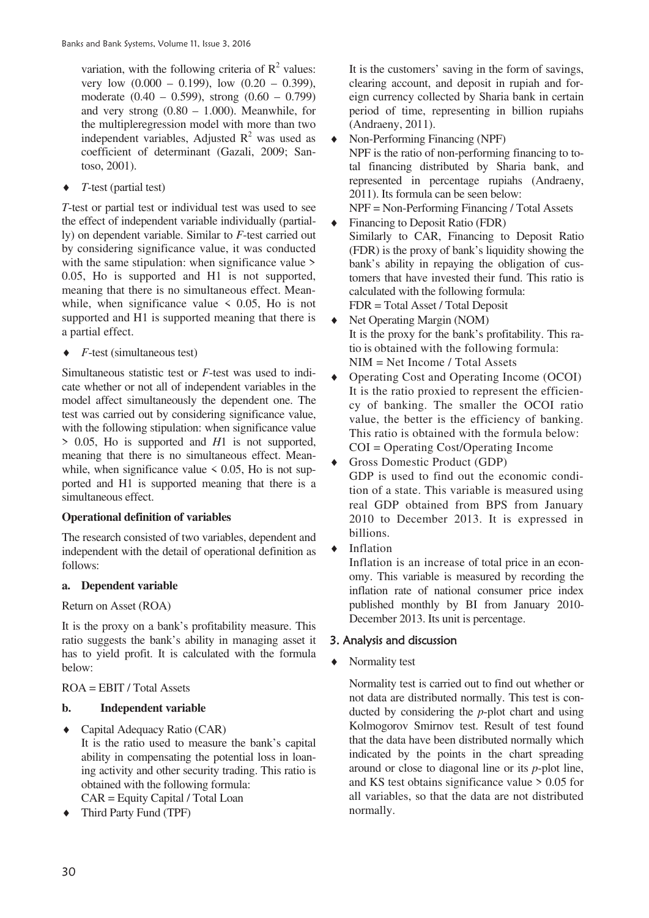variation, with the following criteria of  $R^2$  values: very low  $(0.000 - 0.199)$ , low  $(0.20 - 0.399)$ , moderate (0.40 – 0.599), strong (0.60 – 0.799) and very strong (0.80 – 1.000). Meanwhile, for the multipleregression model with more than two independent variables, Adjusted  $\mathbb{R}^2$  was used as coefficient of determinant (Gazali, 2009; Santoso, 2001).

 $\rightarrow$  *T*-test (partial test)

*T*-test or partial test or individual test was used to see the effect of independent variable individually (partially) on dependent variable. Similar to *F*-test carried out by considering significance value, it was conducted with the same stipulation: when significance value  $\geq$ 0.05, Ho is supported and H1 is not supported, meaning that there is no simultaneous effect. Meanwhile, when significance value  $\leq$  0.05, Ho is not supported and H1 is supported meaning that there is a partial effect.

*F*-test (simultaneous test)

Simultaneous statistic test or *F*-test was used to indicate whether or not all of independent variables in the model affect simultaneously the dependent one. The test was carried out by considering significance value, with the following stipulation: when significance value > 0.05, Ho is supported and *H*1 is not supported, meaning that there is no simultaneous effect. Meanwhile, when significance value  $\leq 0.05$ , Ho is not supported and H1 is supported meaning that there is a simultaneous effect.

# **Operational definition of variables**

The research consisted of two variables, dependent and independent with the detail of operational definition as follows:

### **a. Dependent variable**

### Return on Asset (ROA)

It is the proxy on a bank's profitability measure. This ratio suggests the bank's ability in managing asset it has to yield profit. It is calculated with the formula below:

# ROA = EBIT / Total Assets

# **b. Independent variable**

- ◆ Capital Adequacy Ratio (CAR) It is the ratio used to measure the bank's capital ability in compensating the potential loss in loaning activity and other security trading. This ratio is obtained with the following formula: CAR = Equity Capital / Total Loan
- $\triangleleft$  Third Party Fund (TPF)

It is the customers' saving in the form of savings, clearing account, and deposit in rupiah and foreign currency collected by Sharia bank in certain period of time, representing in billion rupiahs (Andraeny, 2011).

- $\bullet$  Non-Performing Financing (NPF) NPF is the ratio of non-performing financing to total financing distributed by Sharia bank, and represented in percentage rupiahs (Andraeny, 2011). Its formula can be seen below: NPF = Non-Performing Financing / Total Assets
- Financing to Deposit Ratio (FDR) Similarly to CAR, Financing to Deposit Ratio (FDR) is the proxy of bank's liquidity showing the bank's ability in repaying the obligation of customers that have invested their fund. This ratio is calculated with the following formula: FDR = Total Asset / Total Deposit
- Net Operating Margin (NOM) It is the proxy for the bank's profitability. This ratio is obtained with the following formula: NIM = Net Income / Total Assets
- i Operating Cost and Operating Income (OCOI) It is the ratio proxied to represent the efficiency of banking. The smaller the OCOI ratio value, the better is the efficiency of banking. This ratio is obtained with the formula below: COI = Operating Cost/Operating Income
- Gross Domestic Product (GDP) GDP is used to find out the economic condition of a state. This variable is measured using real GDP obtained from BPS from January 2010 to December 2013. It is expressed in billions.
- **Inflation**

Inflation is an increase of total price in an economy. This variable is measured by recording the inflation rate of national consumer price index published monthly by BI from January 2010- December 2013. Its unit is percentage.

# 3. Analysis and discussion

Normality test

 Normality test is carried out to find out whether or not data are distributed normally. This test is conducted by considering the *p*-plot chart and using Kolmogorov Smirnov test. Result of test found that the data have been distributed normally which indicated by the points in the chart spreading around or close to diagonal line or its *p*-plot line, and KS test obtains significance value > 0.05 for all variables, so that the data are not distributed normally.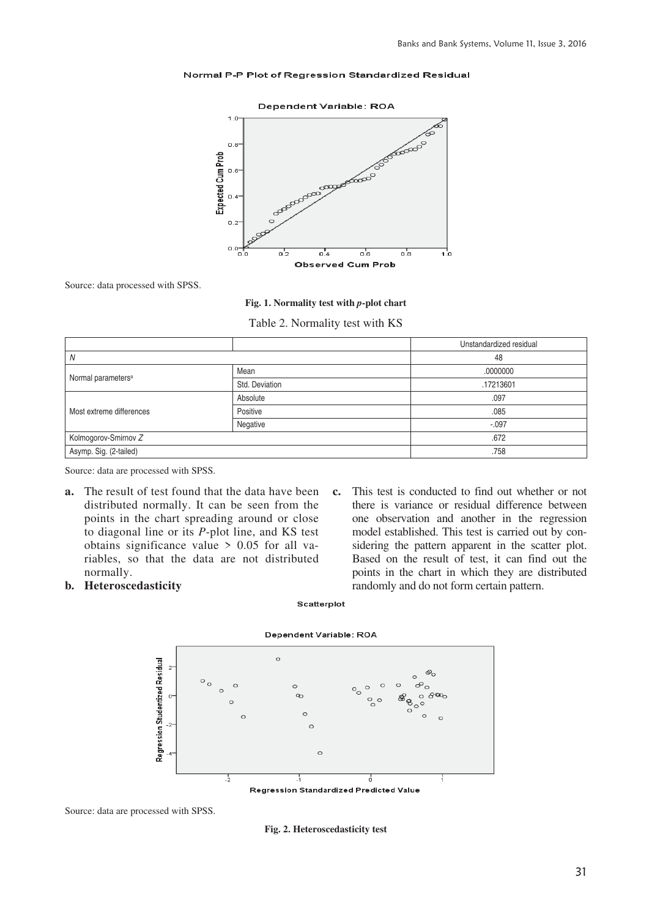#### Normal P-P Plot of Regression Standardized Residual



Source: data processed with SPSS.

#### **Fig. 1. Normality test with** *p***-plot chart**

Table 2. Normality test with KS

|                                |                | Unstandardized residual |
|--------------------------------|----------------|-------------------------|
| Ν                              |                | 48                      |
|                                | Mean           | .0000000                |
| Normal parameters <sup>a</sup> | Std. Deviation | .17213601               |
|                                | Absolute       | .097                    |
| Most extreme differences       | Positive       | .085                    |
|                                | Negative       | $-.097$                 |
| Kolmogorov-Smirnov Z           |                | .672                    |
| Asymp. Sig. (2-tailed)         |                | .758                    |

Source: data are processed with SPSS.

- **a.** The result of test found that the data have been distributed normally. It can be seen from the points in the chart spreading around or close to diagonal line or its *P*-plot line, and KS test obtains significance value > 0.05 for all variables, so that the data are not distributed normally.
- **b. Heteroscedasticity**

**c.** This test is conducted to find out whether or not there is variance or residual difference between one observation and another in the regression model established. This test is carried out by considering the pattern apparent in the scatter plot. Based on the result of test, it can find out the points in the chart in which they are distributed randomly and do not form certain pattern.

#### Scatterplot



Source: data are processed with SPSS.

**Fig. 2. Heteroscedasticity test** 

# Dependent Variable: ROA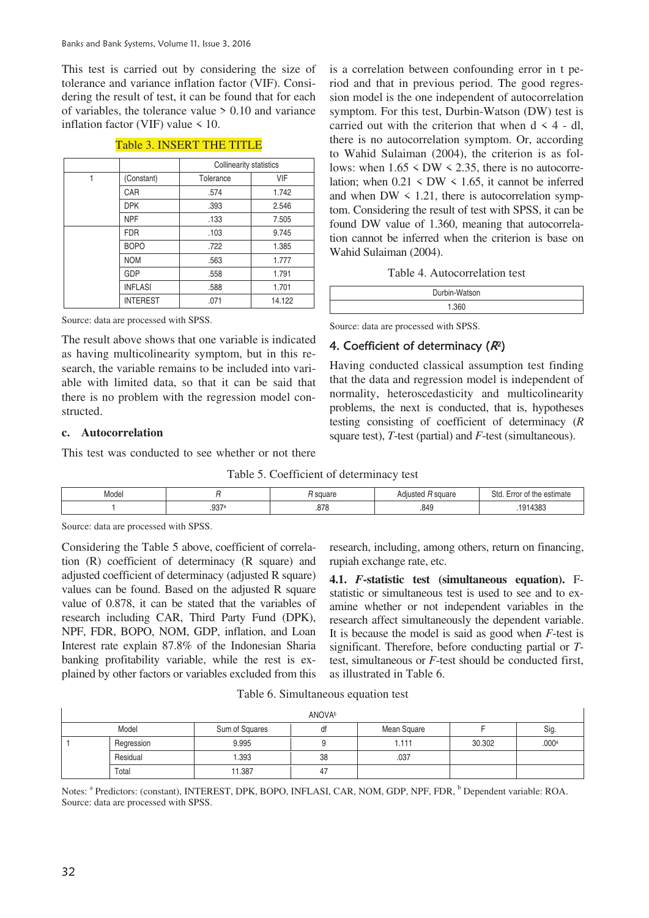This test is carried out by considering the size of tolerance and variance inflation factor (VIF). Considering the result of test, it can be found that for each of variables, the tolerance value > 0.10 and variance inflation factor (VIF) value < 10.

|   |                 | <b>Collinearity statistics</b> |            |  |
|---|-----------------|--------------------------------|------------|--|
| 1 | (Constant)      | Tolerance                      | <b>VIF</b> |  |
|   | <b>CAR</b>      | .574                           | 1.742      |  |
|   | <b>DPK</b>      | .393                           | 2.546      |  |
|   | <b>NPF</b>      | .133                           | 7.505      |  |
|   | <b>FDR</b>      | .103                           | 9.745      |  |
|   | <b>BOPO</b>     | .722                           | 1.385      |  |
|   | <b>NOM</b>      | .563                           | 1.777      |  |
|   | <b>GDP</b>      | .558                           | 1.791      |  |
|   | <b>INFLASI</b>  | .588                           | 1.701      |  |
|   | <b>INTEREST</b> | .071                           | 14.122     |  |

#### Table 3. INSERT THE TITLE

Source: data are processed with SPSS.

The result above shows that one variable is indicated as having multicolinearity symptom, but in this research, the variable remains to be included into variable with limited data, so that it can be said that there is no problem with the regression model constructed.

### **c. Autocorrelation**

This test was conducted to see whether or not there

Table 5. Coefficient of determinacy test

| Model |                    | square      | H square<br>Adiusted<br>$\Delta r$ | Std.<br>$\cdot$ .<br><sup>t</sup> the estimate<br>Erro!<br>$\mathbf{u}$ |
|-------|--------------------|-------------|------------------------------------|-------------------------------------------------------------------------|
|       | רמח<br>◡<br>ו טיש. | 07c<br>.org | .849                               | 14383<br>91<br>$\overline{ }$                                           |

Source: data are processed with SPSS.

Considering the Table 5 above, coefficient of correlation (R) coefficient of determinacy (R square) and adjusted coefficient of determinacy (adjusted R square) values can be found. Based on the adjusted R square value of 0.878, it can be stated that the variables of research including CAR, Third Party Fund (DPK), NPF, FDR, BOPO, NOM, GDP, inflation, and Loan Interest rate explain 87.8% of the Indonesian Sharia banking profitability variable, while the rest is explained by other factors or variables excluded from this research, including, among others, return on financing, rupiah exchange rate, etc.

**4.1.** *F***-statistic test (simultaneous equation).** Fstatistic or simultaneous test is used to see and to examine whether or not independent variables in the research affect simultaneously the dependent variable. It is because the model is said as good when *F*-test is significant. Therefore, before conducting partial or *T*test, simultaneous or *F*-test should be conducted first, as illustrated in Table 6.

Table 6. Simultaneous equation test

|            |                | <b>ANOVA</b> <sup>b</sup> |             |        |       |
|------------|----------------|---------------------------|-------------|--------|-------|
| Model      | Sum of Squares | αı                        | Mean Square |        | Sig.  |
| Regression | 9.995          |                           | 1.111       | 30.302 | .000a |
| Residual   | .393           | 38                        | .037        |        |       |
| Total      | 11.387         | 47                        |             |        |       |

Notes: <sup>a</sup> Predictors: (constant), INTEREST, DPK, BOPO, INFLASI, CAR, NOM, GDP, NPF, FDR, <sup>b</sup> Dependent variable: ROA. Source: data are processed with SPSS.

is a correlation between confounding error in t period and that in previous period. The good regression model is the one independent of autocorrelation symptom. For this test, Durbin-Watson (DW) test is carried out with the criterion that when  $d \leq 4$  - dl, there is no autocorrelation symptom. Or, according to Wahid Sulaiman (2004), the criterion is as follows: when  $1.65 \leq DW \leq 2.35$ , there is no autocorrelation; when  $0.21 \leq DW \leq 1.65$ , it cannot be inferred and when  $DW < 1.21$ , there is autocorrelation symptom. Considering the result of test with SPSS, it can be found DW value of 1.360, meaning that autocorrelation cannot be inferred when the criterion is base on Wahid Sulaiman (2004).

Table 4. Autocorrelation test

| Durbin-Watson |  |
|---------------|--|
| 1.360         |  |

Source: data are processed with SPSS.

### 4. Coefficient of determinacy  $(R^2)$

Having conducted classical assumption test finding that the data and regression model is independent of normality, heteroscedasticity and multicolinearity problems, the next is conducted, that is, hypotheses testing consisting of coefficient of determinacy (*R* square test), *T*-test (partial) and *F*-test (simultaneous).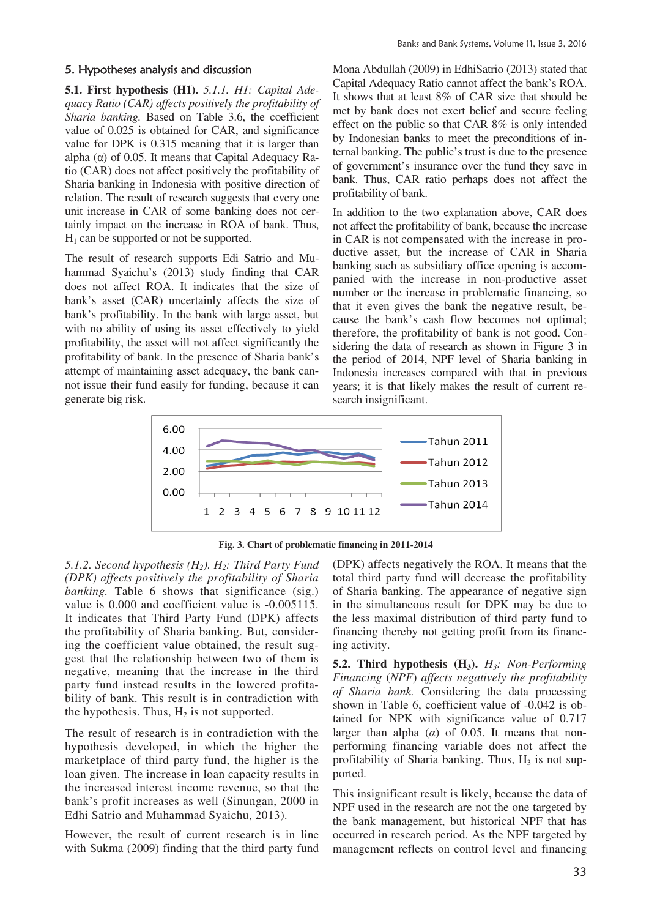### 5. Hypotheses analysis and discussion

**5.1. First hypothesis (H1).** *5.1.1. H1: Capital Adequacy Ratio (CAR) affects positively the profitability of Sharia banking.* Based on Table 3.6, the coefficient value of 0.025 is obtained for CAR, and significance value for DPK is 0.315 meaning that it is larger than alpha  $\alpha$ ) of 0.05. It means that Capital Adequacy Ratio (CAR) does not affect positively the profitability of Sharia banking in Indonesia with positive direction of relation. The result of research suggests that every one unit increase in CAR of some banking does not certainly impact on the increase in ROA of bank. Thus,  $H_1$  can be supported or not be supported.

The result of research supports Edi Satrio and Muhammad Syaichu's (2013) study finding that CAR does not affect ROA. It indicates that the size of bank's asset (CAR) uncertainly affects the size of bank's profitability. In the bank with large asset, but with no ability of using its asset effectively to yield profitability, the asset will not affect significantly the profitability of bank. In the presence of Sharia bank's attempt of maintaining asset adequacy, the bank cannot issue their fund easily for funding, because it can generate big risk.

Mona Abdullah (2009) in EdhiSatrio (2013) stated that Capital Adequacy Ratio cannot affect the bank's ROA. It shows that at least 8% of CAR size that should be met by bank does not exert belief and secure feeling effect on the public so that CAR 8% is only intended by Indonesian banks to meet the preconditions of internal banking. The public's trust is due to the presence of government's insurance over the fund they save in bank. Thus, CAR ratio perhaps does not affect the profitability of bank.

In addition to the two explanation above, CAR does not affect the profitability of bank, because the increase in CAR is not compensated with the increase in productive asset, but the increase of CAR in Sharia banking such as subsidiary office opening is accompanied with the increase in non-productive asset number or the increase in problematic financing, so that it even gives the bank the negative result, because the bank's cash flow becomes not optimal; therefore, the profitability of bank is not good. Considering the data of research as shown in Figure 3 in the period of 2014, NPF level of Sharia banking in Indonesia increases compared with that in previous years; it is that likely makes the result of current research insignificant.



**Fig. 3. Chart of problematic financing in 2011-2014**

*5.1.2. Second hypothesis (H2). H2: Third Party Fund (DPK) affects positively the profitability of Sharia banking*. Table 6 shows that significance (sig.) value is 0.000 and coefficient value is -0.005115. It indicates that Third Party Fund (DPK) affects the profitability of Sharia banking. But, considering the coefficient value obtained, the result suggest that the relationship between two of them is negative, meaning that the increase in the third party fund instead results in the lowered profitability of bank. This result is in contradiction with the hypothesis. Thus,  $H_2$  is not supported.

The result of research is in contradiction with the hypothesis developed, in which the higher the marketplace of third party fund, the higher is the loan given. The increase in loan capacity results in the increased interest income revenue, so that the bank's profit increases as well (Sinungan, 2000 in Edhi Satrio and Muhammad Syaichu, 2013).

However, the result of current research is in line with Sukma (2009) finding that the third party fund (DPK) affects negatively the ROA. It means that the total third party fund will decrease the profitability of Sharia banking. The appearance of negative sign in the simultaneous result for DPK may be due to the less maximal distribution of third party fund to financing thereby not getting profit from its financing activity.

**5.2. Third hypothesis (H3).** *H3: Non-Performing Financing* (*NPF*) *affects negatively the profitability of Sharia bank.* Considering the data processing shown in Table 6, coefficient value of -0.042 is obtained for NPK with significance value of 0.717 larger than alpha  $(a)$  of 0.05. It means that nonperforming financing variable does not affect the profitability of Sharia banking. Thus,  $H_3$  is not supported.

This insignificant result is likely, because the data of NPF used in the research are not the one targeted by the bank management, but historical NPF that has occurred in research period. As the NPF targeted by management reflects on control level and financing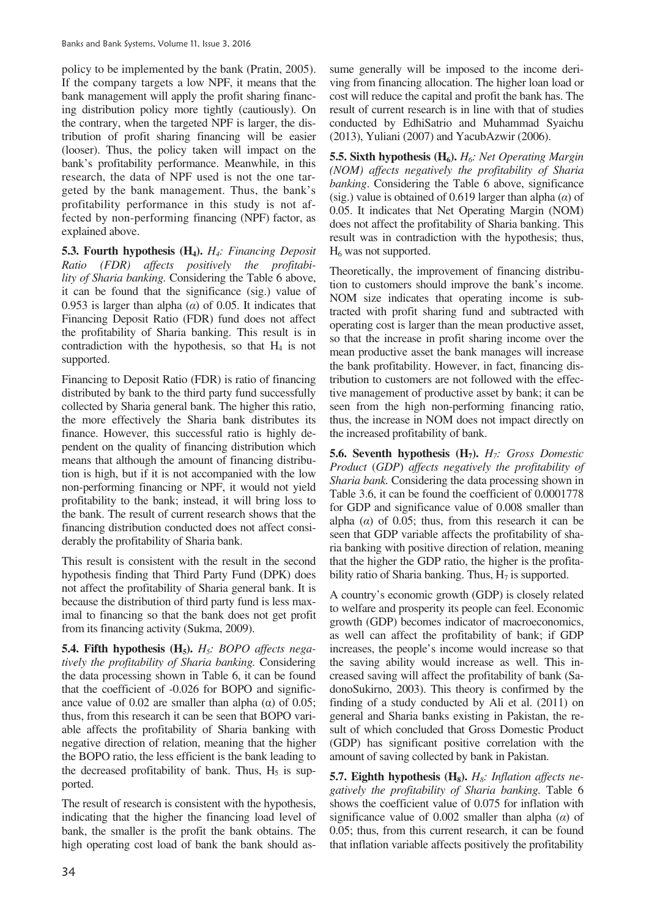policy to be implemented by the bank (Pratin, 2005). If the company targets a low NPF, it means that the bank management will apply the profit sharing financing distribution policy more tightly (cautiously). On the contrary, when the targeted NPF is larger, the distribution of profit sharing financing will be easier (looser). Thus, the policy taken will impact on the bank's profitability performance. Meanwhile, in this research, the data of NPF used is not the one targeted by the bank management. Thus, the bank's profitability performance in this study is not affected by non-performing financing (NPF) factor, as explained above.

**5.3. Fourth hypothesis (H4).** *H4: Financing Deposit Ratio (FDR) affects positively the profitability of Sharia banking.* Considering the Table 6 above, it can be found that the significance (sig.) value of 0.953 is larger than alpha  $(\alpha)$  of 0.05. It indicates that Financing Deposit Ratio (FDR) fund does not affect the profitability of Sharia banking. This result is in contradiction with the hypothesis, so that  $H_4$  is not supported.

Financing to Deposit Ratio (FDR) is ratio of financing distributed by bank to the third party fund successfully collected by Sharia general bank. The higher this ratio, the more effectively the Sharia bank distributes its finance. However, this successful ratio is highly dependent on the quality of financing distribution which means that although the amount of financing distribution is high, but if it is not accompanied with the low non-performing financing or NPF, it would not yield profitability to the bank; instead, it will bring loss to the bank. The result of current research shows that the financing distribution conducted does not affect considerably the profitability of Sharia bank.

This result is consistent with the result in the second hypothesis finding that Third Party Fund (DPK) does not affect the profitability of Sharia general bank. It is because the distribution of third party fund is less maximal to financing so that the bank does not get profit from its financing activity (Sukma, 2009).

**5.4. Fifth hypothesis (H5).** *H5: BOPO affects negatively the profitability of Sharia banking.* Considering the data processing shown in Table 6, it can be found that the coefficient of -0.026 for BOPO and significance value of 0.02 are smaller than alpha  $\alpha$ ) of 0.05; thus, from this research it can be seen that BOPO variable affects the profitability of Sharia banking with negative direction of relation, meaning that the higher the BOPO ratio, the less efficient is the bank leading to the decreased profitability of bank. Thus,  $H_5$  is supported.

The result of research is consistent with the hypothesis, indicating that the higher the financing load level of bank, the smaller is the profit the bank obtains. The high operating cost load of bank the bank should assume generally will be imposed to the income deriving from financing allocation. The higher loan load or cost will reduce the capital and profit the bank has. The result of current research is in line with that of studies conducted by EdhiSatrio and Muhammad Syaichu (2013), Yuliani (2007) and YacubAzwir (2006).

**5.5. Sixth hypothesis (H6).** *H6: Net Operating Margin (NOM) affects negatively the profitability of Sharia banking*. Considering the Table 6 above, significance (sig.) value is obtained of 0.619 larger than alpha  $(\alpha)$  of 0.05. It indicates that Net Operating Margin (NOM) does not affect the profitability of Sharia banking. This result was in contradiction with the hypothesis; thus,  $H<sub>6</sub>$  was not supported.

Theoretically, the improvement of financing distribution to customers should improve the bank's income. NOM size indicates that operating income is subtracted with profit sharing fund and subtracted with operating cost is larger than the mean productive asset, so that the increase in profit sharing income over the mean productive asset the bank manages will increase the bank profitability. However, in fact, financing distribution to customers are not followed with the effective management of productive asset by bank; it can be seen from the high non-performing financing ratio, thus, the increase in NOM does not impact directly on the increased profitability of bank.

**5.6. Seventh hypothesis (H7).** *H7: Gross Domestic Product* (*GDP*) *affects negatively the profitability of Sharia bank.* Considering the data processing shown in Table 3.6, it can be found the coefficient of 0.0001778 for GDP and significance value of 0.008 smaller than alpha  $(a)$  of 0.05; thus, from this research it can be seen that GDP variable affects the profitability of sharia banking with positive direction of relation, meaning that the higher the GDP ratio, the higher is the profitability ratio of Sharia banking. Thus,  $H_7$  is supported.

A country's economic growth (GDP) is closely related to welfare and prosperity its people can feel. Economic growth (GDP) becomes indicator of macroeconomics, as well can affect the profitability of bank; if GDP increases, the people's income would increase so that the saving ability would increase as well. This increased saving will affect the profitability of bank (SadonoSukirno, 2003). This theory is confirmed by the finding of a study conducted by Ali et al. (2011) on general and Sharia banks existing in Pakistan, the result of which concluded that Gross Domestic Product (GDP) has significant positive correlation with the amount of saving collected by bank in Pakistan.

**5.7. Eighth hypothesis (H8).** *H8: Inflation affects negatively the profitability of Sharia banking.* Table 6 shows the coefficient value of 0.075 for inflation with significance value of 0.002 smaller than alpha  $(\alpha)$  of 0.05; thus, from this current research, it can be found that inflation variable affects positively the profitability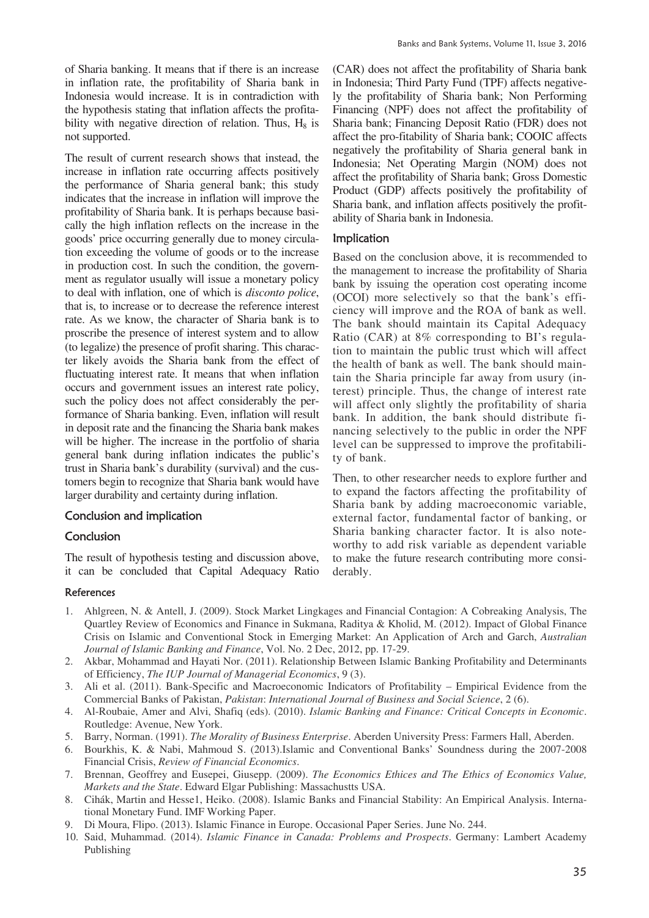of Sharia banking. It means that if there is an increase in inflation rate, the profitability of Sharia bank in Indonesia would increase. It is in contradiction with the hypothesis stating that inflation affects the profitability with negative direction of relation. Thus,  $H_8$  is not supported.

The result of current research shows that instead, the increase in inflation rate occurring affects positively the performance of Sharia general bank; this study indicates that the increase in inflation will improve the profitability of Sharia bank. It is perhaps because basically the high inflation reflects on the increase in the goods' price occurring generally due to money circulation exceeding the volume of goods or to the increase in production cost. In such the condition, the government as regulator usually will issue a monetary policy to deal with inflation, one of which is *disconto police*, that is, to increase or to decrease the reference interest rate. As we know, the character of Sharia bank is to proscribe the presence of interest system and to allow (to legalize) the presence of profit sharing. This character likely avoids the Sharia bank from the effect of fluctuating interest rate. It means that when inflation occurs and government issues an interest rate policy, such the policy does not affect considerably the performance of Sharia banking. Even, inflation will result in deposit rate and the financing the Sharia bank makes will be higher. The increase in the portfolio of sharia general bank during inflation indicates the public's trust in Sharia bank's durability (survival) and the customers begin to recognize that Sharia bank would have larger durability and certainty during inflation.

### Conclusion and implication

### Conclusion

The result of hypothesis testing and discussion above, it can be concluded that Capital Adequacy Ratio

#### **References**

Banks and Bank Systems, Volume 11, Issue 3, 2016

(CAR) does not affect the profitability of Sharia bank in Indonesia; Third Party Fund (TPF) affects negatively the profitability of Sharia bank; Non Performing Financing (NPF) does not affect the profitability of Sharia bank; Financing Deposit Ratio (FDR) does not affect the pro-fitability of Sharia bank; COOIC affects negatively the profitability of Sharia general bank in Indonesia; Net Operating Margin (NOM) does not affect the profitability of Sharia bank; Gross Domestic Product (GDP) affects positively the profitability of Sharia bank, and inflation affects positively the profitability of Sharia bank in Indonesia.

### Implication

Based on the conclusion above, it is recommended to the management to increase the profitability of Sharia bank by issuing the operation cost operating income (OCOI) more selectively so that the bank's efficiency will improve and the ROA of bank as well. The bank should maintain its Capital Adequacy Ratio (CAR) at 8% corresponding to BI's regulation to maintain the public trust which will affect the health of bank as well. The bank should maintain the Sharia principle far away from usury (interest) principle. Thus, the change of interest rate will affect only slightly the profitability of sharia bank. In addition, the bank should distribute financing selectively to the public in order the NPF level can be suppressed to improve the profitability of bank.

Then, to other researcher needs to explore further and to expand the factors affecting the profitability of Sharia bank by adding macroeconomic variable, external factor, fundamental factor of banking, or Sharia banking character factor. It is also noteworthy to add risk variable as dependent variable to make the future research contributing more considerably.

- 1. Ahlgreen, N. & Antell, J. (2009). Stock Market Lingkages and Financial Contagion: A Cobreaking Analysis, The Quartley Review of Economics and Finance in Sukmana, Raditya & Kholid, M. (2012). Impact of Global Finance Crisis on Islamic and Conventional Stock in Emerging Market: An Application of Arch and Garch, *Australian Journal of Islamic Banking and Finance*, Vol. No. 2 Dec, 2012, pp. 17-29.
- 2. Akbar, Mohammad and Hayati Nor. (2011). Relationship Between Islamic Banking Profitability and Determinants of Efficiency, *The IUP Journal of Managerial Economics*, 9 (3).
- 3. Ali et al. (2011). Bank-Specific and Macroeconomic Indicators of Profitability Empirical Evidence from the Commercial Banks of Pakistan, *Pakistan*: *International Journal of Business and Social Science*, 2 (6).
- 4. Al-Roubaie, Amer and Alvi, Shafiq (eds). (2010). *Islamic Banking and Finance: Critical Concepts in Economic*. Routledge: Avenue, New York.
- 5. Barry, Norman. (1991). *The Morality of Business Enterprise*. Aberden University Press: Farmers Hall, Aberden.
- 6. Bourkhis, K. & Nabi, Mahmoud S. (2013).Islamic and Conventional Banks' Soundness during the 2007-2008 Financial Crisis, *Review of Financial Economics*.
- 7. Brennan, Geoffrey and Eusepei, Giusepp. (2009). *The Economics Ethices and The Ethics of Economics Value, Markets and the State*. Edward Elgar Publishing: Massachustts USA.
- 8. Cihák, Martin and Hesse1, Heiko. (2008). Islamic Banks and Financial Stability: An Empirical Analysis. International Monetary Fund. IMF Working Paper.
- 9. Di Moura, Flipo. (2013). Islamic Finance in Europe. Occasional Paper Series. June No. 244.
- 10. Said, Muhammad. (2014). *Islamic Finance in Canada: Problems and Prospects*. Germany: Lambert Academy Publishing